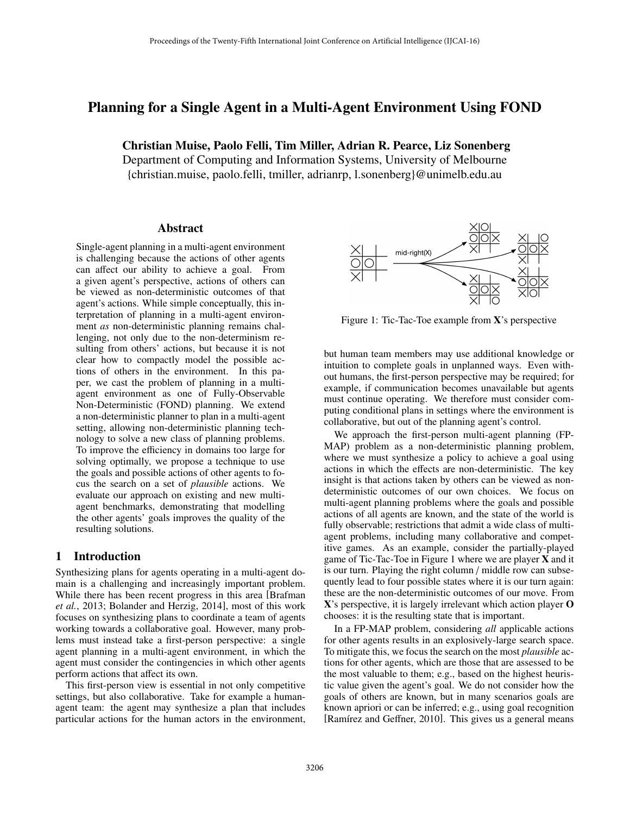# Planning for a Single Agent in a Multi-Agent Environment Using FOND

Christian Muise, Paolo Felli, Tim Miller, Adrian R. Pearce, Liz Sonenberg

Department of Computing and Information Systems, University of Melbourne {christian.muise, paolo.felli, tmiller, adrianrp, l.sonenberg}@unimelb.edu.au

### Abstract

Single-agent planning in a multi-agent environment is challenging because the actions of other agents can affect our ability to achieve a goal. From a given agent's perspective, actions of others can be viewed as non-deterministic outcomes of that agent's actions. While simple conceptually, this interpretation of planning in a multi-agent environment *as* non-deterministic planning remains challenging, not only due to the non-determinism resulting from others' actions, but because it is not clear how to compactly model the possible actions of others in the environment. In this paper, we cast the problem of planning in a multiagent environment as one of Fully-Observable Non-Deterministic (FOND) planning. We extend a non-deterministic planner to plan in a multi-agent setting, allowing non-deterministic planning technology to solve a new class of planning problems. To improve the efficiency in domains too large for solving optimally, we propose a technique to use the goals and possible actions of other agents to focus the search on a set of *plausible* actions. We evaluate our approach on existing and new multiagent benchmarks, demonstrating that modelling the other agents' goals improves the quality of the resulting solutions.

# 1 Introduction

Synthesizing plans for agents operating in a multi-agent domain is a challenging and increasingly important problem. While there has been recent progress in this area [Brafman *et al.*, 2013; Bolander and Herzig, 2014], most of this work focuses on synthesizing plans to coordinate a team of agents working towards a collaborative goal. However, many problems must instead take a first-person perspective: a single agent planning in a multi-agent environment, in which the agent must consider the contingencies in which other agents perform actions that affect its own.

This first-person view is essential in not only competitive settings, but also collaborative. Take for example a humanagent team: the agent may synthesize a plan that includes particular actions for the human actors in the environment,



Figure 1: Tic-Tac-Toe example from X's perspective

but human team members may use additional knowledge or intuition to complete goals in unplanned ways. Even without humans, the first-person perspective may be required; for example, if communication becomes unavailable but agents must continue operating. We therefore must consider computing conditional plans in settings where the environment is collaborative, but out of the planning agent's control.

We approach the first-person multi-agent planning (FP-MAP) problem as a non-deterministic planning problem, where we must synthesize a policy to achieve a goal using actions in which the effects are non-deterministic. The key insight is that actions taken by others can be viewed as nondeterministic outcomes of our own choices. We focus on multi-agent planning problems where the goals and possible actions of all agents are known, and the state of the world is fully observable; restrictions that admit a wide class of multiagent problems, including many collaborative and competitive games. As an example, consider the partially-played game of Tic-Tac-Toe in Figure 1 where we are player X and it is our turn. Playing the right column / middle row can subsequently lead to four possible states where it is our turn again: these are the non-deterministic outcomes of our move. From X's perspective, it is largely irrelevant which action player O chooses: it is the resulting state that is important.

In a FP-MAP problem, considering *all* applicable actions for other agents results in an explosively-large search space. To mitigate this, we focus the search on the most *plausible* actions for other agents, which are those that are assessed to be the most valuable to them; e.g., based on the highest heuristic value given the agent's goal. We do not consider how the goals of others are known, but in many scenarios goals are known apriori or can be inferred; e.g., using goal recognition [Ramírez and Geffner, 2010]. This gives us a general means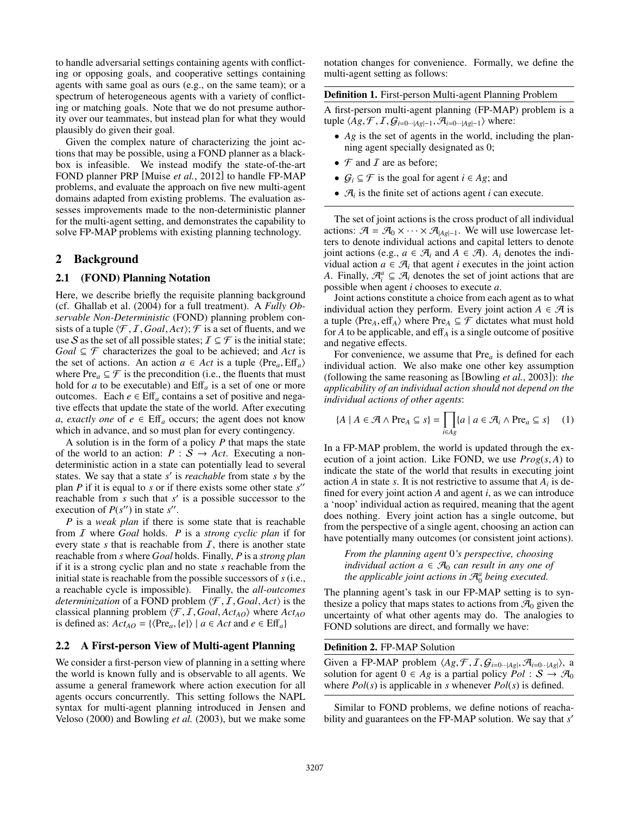to handle adversarial settings containing agents with conflicting or opposing goals, and cooperative settings containing agents with same goal as ours (e.g., on the same team); or a spectrum of heterogeneous agents with a variety of conflicting or matching goals. Note that we do not presume authority over our teammates, but instead plan for what they would plausibly do given their goal.

Given the complex nature of characterizing the joint actions that may be possible, using a FOND planner as a blackbox is infeasible. We instead modify the state-of-the-art FOND planner PRP [Muise *et al.*, 2012] to handle FP-MAP problems, and evaluate the approach on five new multi-agent domains adapted from existing problems. The evaluation assesses improvements made to the non-deterministic planner for the multi-agent setting, and demonstrates the capability to solve FP-MAP problems with existing planning technology.

# 2 Background

### 2.1 (FOND) Planning Notation

Here, we describe briefly the requisite planning background (cf. Ghallab et al. (2004) for a full treatment). A *Fully Observable Non-Deterministic* (FOND) planning problem consists of a tuple  $\langle \mathcal{F}, I, Goal, Act \rangle$ ;  $\mathcal{F}$  is a set of fluents, and we use S as the set of all possible states;  $\mathcal{I} \subseteq \mathcal{F}$  is the initial state;  $Goal \subseteq \mathcal{F}$  characterizes the goal to be achieved; and *Act* is the set of actions. An action  $a \in Act$  is a tuple  $\langle Pre_a, Eff_a \rangle$ where  $Pre_a \subseteq \mathcal{F}$  is the precondition (i.e., the fluents that must hold for *a* to be executable) and  $\text{Eff}_a$  is a set of one or more outcomes. Each  $e \in \text{Eff}_a$  contains a set of positive and negative effects that update the state of the world. After executing *a*, *exactly one* of  $e \in \text{Eff}_a$  occurs; the agent does not know which in advance, and so must plan for every contingency.

A solution is in the form of a policy *P* that maps the state of the world to an action:  $P : S \rightarrow Act$ . Executing a nondeterministic action in a state can potentially lead to several states. We say that a state *s'* is *reachable* from state *s* by the plan  $P$  if it is equal to  $s$  or if there exists some other state  $s''$ reachable from *s* such that *s'* is a possible successor to the execution of  $P(s'')$  in state  $s''$ .

*P* is a *weak plan* if there is some state that is reachable from I where *Goal* holds. *P* is a *strong cyclic plan* if for every state *s* that is reachable from  $I$ , there is another state reachable from *s* where *Goal* holds. Finally, *P* is a *strong plan* if it is a strong cyclic plan and no state *s* reachable from the initial state is reachable from the possible successors of *s* (i.e., a reachable cycle is impossible). Finally, the *all-outcomes determinization* of a FOND problem  $\langle F, I, Goal, Act \rangle$  is the classical planning problem  $\langle \mathcal{F}, I, Goal, Act_{AO} \rangle$  where  $Act_{AO}$ is defined as:  $Act_{AO} = {\langle Pre_a, \{e\} \rangle \mid a \in Act \text{ and } e \in Eff_a\}}$ 

# 2.2 A First-person View of Multi-agent Planning

We consider a first-person view of planning in a setting where the world is known fully and is observable to all agents. We assume a general framework where action execution for all agents occurs concurrently. This setting follows the NAPL syntax for multi-agent planning introduced in Jensen and Veloso (2000) and Bowling *et al.* (2003), but we make some notation changes for convenience. Formally, we define the multi-agent setting as follows:

Definition 1. First-person Multi-agent Planning Problem

A first-person multi-agent planning (FP-MAP) problem is a tuple  $\langle Ag, \mathcal{F}, I, G_{i=0\cdots |Ag|-1}, \mathcal{A}_{i=0\cdots |Ag|-1} \rangle$  where:

- *Ag* is the set of agents in the world, including the planning agent specially designated as 0;
- $\mathcal F$  and  $I$  are as before;
- $G_i \subseteq \mathcal{F}$  is the goal for agent  $i \in Ag$ ; and
- $\mathcal{A}_i$  is the finite set of actions agent *i* can execute.

The set of joint actions is the cross product of all individual actions:  $\mathcal{A} = \mathcal{A}_0 \times \cdots \times \mathcal{A}_{|A_{\mathcal{S}}|-1}$ . We will use lowercase letters to denote individual actions and capital letters to denote joint actions (e.g.,  $a \in \mathcal{A}_i$  and  $A \in \mathcal{A}$ ).  $A_i$  denotes the individual action  $a \in \mathcal{A}_i$  that agent *i* executes in the joint action *A*. Finally,  $\mathcal{A}_i^a \subseteq \mathcal{A}_i$  denotes the set of joint actions that are possible when agent *i* chooses to execute *a*.

Joint actions constitute a choice from each agent as to what individual action they perform. Every joint action  $A \in \mathcal{A}$  is a tuple  $\langle Pre_A, eff_A \rangle$  where  $Pre_A \subseteq \mathcal{F}$  dictates what must hold for  $A$  to be applicable, and eff<sub> $A$ </sub> is a single outcome of positive and negative effects.

For convenience, we assume that Pre*<sup>a</sup>* is defined for each individual action. We also make one other key assumption (following the same reasoning as [Bowling *et al.*, 2003]): *the applicability of an individual action should not depend on the individual actions of other agents*:

$$
\{A \mid A \in \mathcal{A} \land \text{Pre}_A \subseteq s\} = \prod_{i \in Ag} \{a \mid a \in \mathcal{A}_i \land \text{Pre}_a \subseteq s\} \quad (1)
$$

In a FP-MAP problem, the world is updated through the execution of a joint action. Like FOND, we use *Prog*(*s*, *A*) to indicate the state of the world that results in executing joint action *A* in state *s*. It is not restrictive to assume that  $A_i$  is defined for every joint action *A* and agent *i*, as we can introduce a 'noop' individual action as required, meaning that the agent does nothing. Every joint action has a single outcome, but from the perspective of a single agent, choosing an action can have potentially many outcomes (or consistent joint actions).

*From the planning agent* 0*'s perspective, choosing individual action*  $a \in \mathcal{A}_0$  *can result in any one of the applicable joint actions in* A*<sup>a</sup>* <sup>0</sup> *being executed.*

The planning agent's task in our FP-MAP setting is to synthesize a policy that maps states to actions from  $\mathcal{A}_0$  given the uncertainty of what other agents may do. The analogies to FOND solutions are direct, and formally we have:

#### Definition 2. FP-MAP Solution

Given a FP-MAP problem  $\langle Ag, \mathcal{F}, I, \mathcal{G}_{i=0\cdots |Ag|}, \mathcal{A}_{i=0\cdots |Ag|}\rangle$ , a solution for agent  $0 \in Ag$  is a partial policy  $Pol : S \rightarrow \mathcal{A}_0$ where *Pol*(*s*) is applicable in *s* whenever *Pol*(*s*) is defined.

Similar to FOND problems, we define notions of reachability and guarantees on the FP-MAP solution. We say that *s'*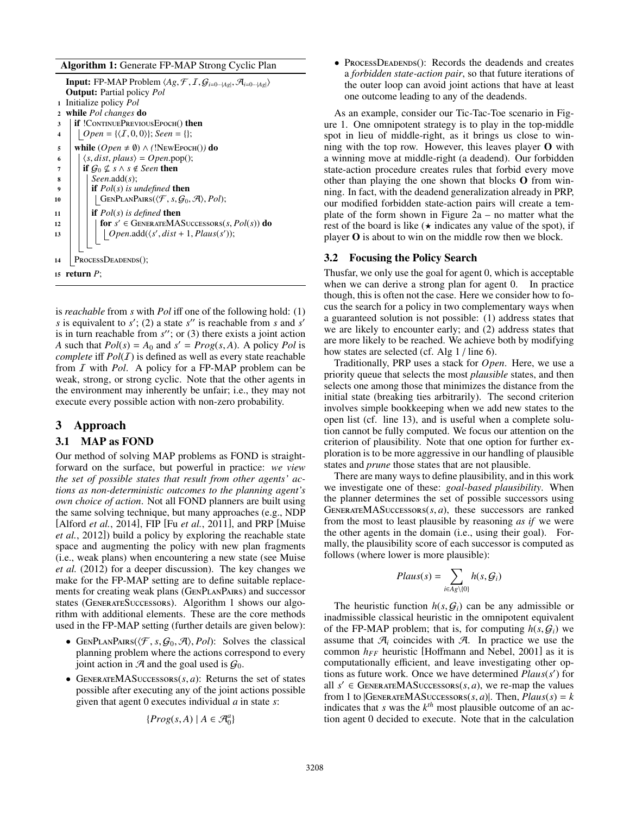#### Algorithm 1: Generate FP-MAP Strong Cyclic Plan

```
Input: FP-MAP Problem \langle Ag, \mathcal{F}, I, \mathcal{G}_{i=0\cdots |Ag|}, \mathcal{A}_{i=0\cdots |Ag|} \rangleOutput: Partial policy Pol
1 Initialize policy Pol
2 while Pol changes do
3 | if !CONTINUEPREVIOUSEPOCH() then
4 | Open = {\langle I, 0, 0 \rangle}; Seen = {};
5 while (Open \neq \emptyset) \wedge (!NewEpoch()) do<br>6 \langle s, dist, plaus \rangle = Open.pop();
6 \vert \langle s, dist, plaus \rangle = Open.pop();<br>7 if G_0 \not\subset s \wedge s \not\in Seen then
\begin{array}{c} 7 \\ 8 \end{array} if \mathcal{G}_0 \nsubseteq s \wedge s \notin \text{Seen} then<br>
\begin{array}{c} 8 \\ 1 \end{array}8 Seen.add(s);
9 if Pol(s) is undefined then
10 | | | GENPLANPAIRS(\langle \mathcal{F}, s, \mathcal{G}_0, \mathcal{A} \rangle, Pol);
11 \mid \mathbf{if} Pol(s) \text{ is defined then}12 for s0 2 GenerateMASuccessors(s, Pol(s)) do
13 \bigcup \bigcup Open.add(\langle s', dist + 1, Plaus(s'));
14 ProcessDeadends();
15 return P;
```
is *reachable* from *s* with *Pol* iff one of the following hold: (1) *s* is equivalent to  $s'$ ; (2) a state  $s''$  is reachable from *s* and  $s'$ is in turn reachable from  $s''$ ; or (3) there exists a joint action *A* such that  $Pol(s) = A_0$  and  $s' = Prog(s, A)$ . A policy *Pol* is *complete* iff  $Pol(\mathcal{I})$  is defined as well as every state reachable from I with *Pol*. A policy for a FP-MAP problem can be weak, strong, or strong cyclic. Note that the other agents in the environment may inherently be unfair; i.e., they may not execute every possible action with non-zero probability.

### 3 Approach

#### 3.1 MAP as FOND

Our method of solving MAP problems as FOND is straightforward on the surface, but powerful in practice: *we view the set of possible states that result from other agents' actions as non-deterministic outcomes to the planning agent's own choice of action*. Not all FOND planners are built using the same solving technique, but many approaches (e.g., NDP [Alford *et al.*, 2014], FIP [Fu *et al.*, 2011], and PRP [Muise *et al.*, 2012]) build a policy by exploring the reachable state space and augmenting the policy with new plan fragments (i.e., weak plans) when encountering a new state (see Muise *et al.* (2012) for a deeper discussion). The key changes we make for the FP-MAP setting are to define suitable replacements for creating weak plans (GENPLANPAIRS) and successor states (GENERATESUCCESSORS). Algorithm 1 shows our algorithm with additional elements. These are the core methods used in the FP-MAP setting (further details are given below):

- GENPLANPAIRS( $\langle \mathcal{F}, s, \mathcal{G}_0, \mathcal{A} \rangle$ , *Pol*): Solves the classical planning problem where the actions correspond to every joint action in  $\mathcal A$  and the goal used is  $\mathcal G_0$ .
- GENERATEMASUCCESSORS(s, a): Returns the set of states possible after executing any of the joint actions possible given that agent 0 executes individual *a* in state *s*:

$$
\{Prog(s,A)\mid A\in\mathcal{A}_0^a\}
$$

• PROCESSDEADENDS(): Records the deadends and creates a *forbidden state-action pair*, so that future iterations of the outer loop can avoid joint actions that have at least one outcome leading to any of the deadends.

As an example, consider our Tic-Tac-Toe scenario in Figure 1. One omnipotent strategy is to play in the top-middle spot in lieu of middle-right, as it brings us close to winning with the top row. However, this leaves player O with a winning move at middle-right (a deadend). Our forbidden state-action procedure creates rules that forbid every move other than playing the one shown that blocks O from winning. In fact, with the deadend generalization already in PRP, our modified forbidden state-action pairs will create a template of the form shown in Figure 2a – no matter what the rest of the board is like  $(\star)$  indicates any value of the spot), if player O is about to win on the middle row then we block.

#### 3.2 Focusing the Policy Search

Thusfar, we only use the goal for agent 0, which is acceptable when we can derive a strong plan for agent 0. In practice though, this is often not the case. Here we consider how to focus the search for a policy in two complementary ways when a guaranteed solution is not possible: (1) address states that we are likely to encounter early; and (2) address states that are more likely to be reached. We achieve both by modifying how states are selected (cf. Alg 1 / line 6).

Traditionally, PRP uses a stack for *Open*. Here, we use a priority queue that selects the most *plausible* states, and then selects one among those that minimizes the distance from the initial state (breaking ties arbitrarily). The second criterion involves simple bookkeeping when we add new states to the open list (cf. line 13), and is useful when a complete solution cannot be fully computed. We focus our attention on the criterion of plausibility. Note that one option for further exploration is to be more aggressive in our handling of plausible states and *prune* those states that are not plausible.

There are many ways to define plausibility, and in this work we investigate one of these: *goal-based plausibility*. When the planner determines the set of possible successors using GENERATEMASUCCESSORS $(s, a)$ , these successors are ranked from the most to least plausible by reasoning *as if* we were the other agents in the domain (i.e., using their goal). Formally, the plausibility score of each successor is computed as follows (where lower is more plausible):

$$
Plaus(s) = \sum_{i \in Ag \setminus \{0\}} h(s, \mathcal{G}_i)
$$

The heuristic function  $h(s, G_i)$  can be any admissible or inadmissible classical heuristic in the omnipotent equivalent of the FP-MAP problem; that is, for computing  $h(s, G_i)$  we assume that  $\mathcal{A}_i$  coincides with  $\mathcal{A}_i$ . In practice we use the common  $h_{FF}$  heuristic [Hoffmann and Nebel, 2001] as it is computationally efficient, and leave investigating other options as future work. Once we have determined *Plaus(s')* for all  $s' \in \text{GenerATEMASUCCESSORS}(s, a)$ , we re-map the values from 1 to  $|G$ ENERATEMASUCCESSORS $(s, a)$ . Then,  $Plaus(s) = k$ indicates that *s* was the  $k^{th}$  most plausible outcome of an action agent 0 decided to execute. Note that in the calculation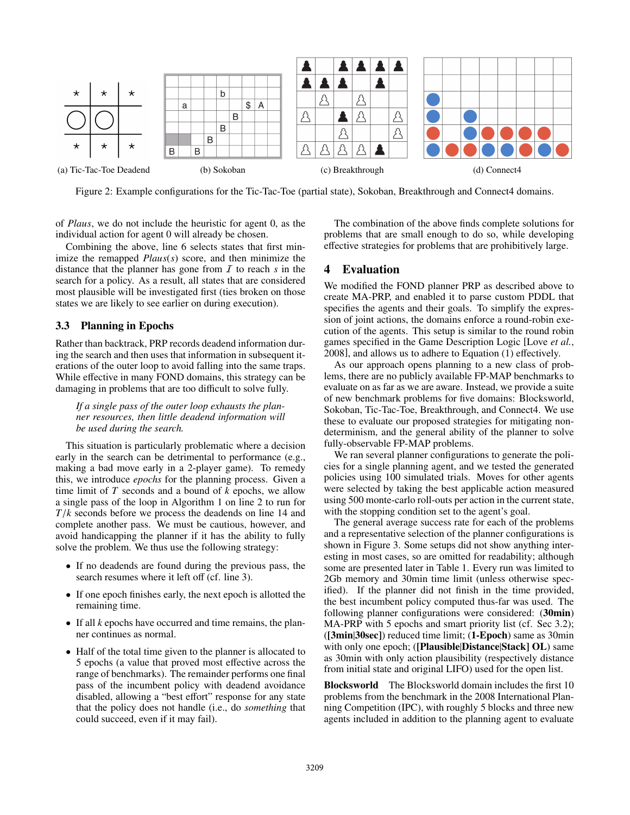

Figure 2: Example configurations for the Tic-Tac-Toe (partial state), Sokoban, Breakthrough and Connect4 domains.

of *Plaus*, we do not include the heuristic for agent 0, as the individual action for agent 0 will already be chosen.

Combining the above, line 6 selects states that first minimize the remapped *Plaus*(*s*) score, and then minimize the distance that the planner has gone from I to reach *s* in the search for a policy. As a result, all states that are considered most plausible will be investigated first (ties broken on those states we are likely to see earlier on during execution).

### 3.3 Planning in Epochs

Rather than backtrack, PRP records deadend information during the search and then uses that information in subsequent iterations of the outer loop to avoid falling into the same traps. While effective in many FOND domains, this strategy can be damaging in problems that are too difficult to solve fully.

*If a single pass of the outer loop exhausts the planner resources, then little deadend information will be used during the search.*

This situation is particularly problematic where a decision early in the search can be detrimental to performance (e.g., making a bad move early in a 2-player game). To remedy this, we introduce *epochs* for the planning process. Given a time limit of *T* seconds and a bound of *k* epochs, we allow a single pass of the loop in Algorithm 1 on line 2 to run for *T*/*k* seconds before we process the deadends on line 14 and complete another pass. We must be cautious, however, and avoid handicapping the planner if it has the ability to fully solve the problem. We thus use the following strategy:

- If no deadends are found during the previous pass, the search resumes where it left off (cf. line 3).
- If one epoch finishes early, the next epoch is allotted the remaining time.
- If all *k* epochs have occurred and time remains, the planner continues as normal.
- Half of the total time given to the planner is allocated to 5 epochs (a value that proved most effective across the range of benchmarks). The remainder performs one final pass of the incumbent policy with deadend avoidance disabled, allowing a "best effort" response for any state that the policy does not handle (i.e., do *something* that could succeed, even if it may fail).

The combination of the above finds complete solutions for problems that are small enough to do so, while developing effective strategies for problems that are prohibitively large.

# 4 Evaluation

We modified the FOND planner PRP as described above to create MA-PRP, and enabled it to parse custom PDDL that specifies the agents and their goals. To simplify the expression of joint actions, the domains enforce a round-robin execution of the agents. This setup is similar to the round robin games specified in the Game Description Logic [Love *et al.*, 2008], and allows us to adhere to Equation (1) effectively.

As our approach opens planning to a new class of problems, there are no publicly available FP-MAP benchmarks to evaluate on as far as we are aware. Instead, we provide a suite of new benchmark problems for five domains: Blocksworld, Sokoban, Tic-Tac-Toe, Breakthrough, and Connect4. We use these to evaluate our proposed strategies for mitigating nondeterminism, and the general ability of the planner to solve fully-observable FP-MAP problems.

We ran several planner configurations to generate the policies for a single planning agent, and we tested the generated policies using 100 simulated trials. Moves for other agents were selected by taking the best applicable action measured using 500 monte-carlo roll-outs per action in the current state, with the stopping condition set to the agent's goal.

The general average success rate for each of the problems and a representative selection of the planner configurations is shown in Figure 3. Some setups did not show anything interesting in most cases, so are omitted for readability; although some are presented later in Table 1. Every run was limited to 2Gb memory and 30min time limit (unless otherwise specified). If the planner did not finish in the time provided, the best incumbent policy computed thus-far was used. The following planner configurations were considered: (30min) MA-PRP with 5 epochs and smart priority list (cf. Sec 3.2); ([3min|30sec]) reduced time limit; (1-Epoch) same as 30min with only one epoch; ([Plausible|Distance|Stack] OL) same as 30min with only action plausibility (respectively distance from initial state and original LIFO) used for the open list.

Blocksworld The Blocksworld domain includes the first 10 problems from the benchmark in the 2008 International Planning Competition (IPC), with roughly 5 blocks and three new agents included in addition to the planning agent to evaluate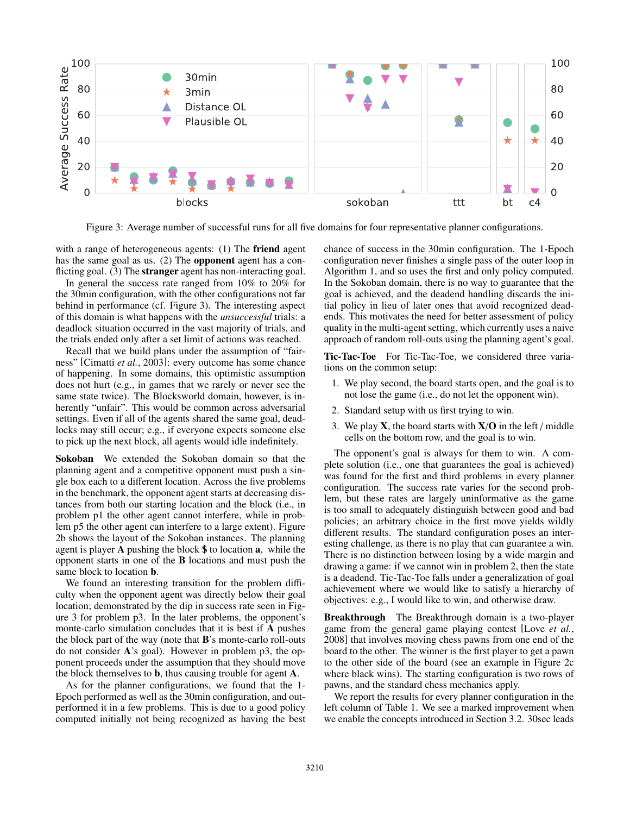

Figure 3: Average number of successful runs for all five domains for four representative planner configurations.

with a range of heterogeneous agents: (1) The friend agent has the same goal as us. (2) The **opponent** agent has a conflicting goal. (3) The **stranger** agent has non-interacting goal.

In general the success rate ranged from 10% to 20% for the 30min configuration, with the other configurations not far behind in performance (cf. Figure 3). The interesting aspect of this domain is what happens with the *unsuccessful* trials: a deadlock situation occurred in the vast majority of trials, and the trials ended only after a set limit of actions was reached.

Recall that we build plans under the assumption of "fairness" [Cimatti *et al.*, 2003]: every outcome has some chance of happening. In some domains, this optimistic assumption does not hurt (e.g., in games that we rarely or never see the same state twice). The Blocksworld domain, however, is inherently "unfair". This would be common across adversarial settings. Even if all of the agents shared the same goal, deadlocks may still occur; e.g., if everyone expects someone else to pick up the next block, all agents would idle indefinitely.

Sokoban We extended the Sokoban domain so that the planning agent and a competitive opponent must push a single box each to a different location. Across the five problems in the benchmark, the opponent agent starts at decreasing distances from both our starting location and the block (i.e., in problem p1 the other agent cannot interfere, while in problem p5 the other agent can interfere to a large extent). Figure 2b shows the layout of the Sokoban instances. The planning agent is player A pushing the block \$ to location a, while the opponent starts in one of the B locations and must push the same block to location b.

We found an interesting transition for the problem difficulty when the opponent agent was directly below their goal location; demonstrated by the dip in success rate seen in Figure 3 for problem p3. In the later problems, the opponent's monte-carlo simulation concludes that it is best if A pushes the block part of the way (note that B's monte-carlo roll-outs do not consider A's goal). However in problem p3, the opponent proceeds under the assumption that they should move the block themselves to b, thus causing trouble for agent A.

As for the planner configurations, we found that the 1- Epoch performed as well as the 30min configuration, and outperformed it in a few problems. This is due to a good policy computed initially not being recognized as having the best chance of success in the 30min configuration. The 1-Epoch configuration never finishes a single pass of the outer loop in Algorithm 1, and so uses the first and only policy computed. In the Sokoban domain, there is no way to guarantee that the goal is achieved, and the deadend handling discards the initial policy in lieu of later ones that avoid recognized deadends. This motivates the need for better assessment of policy quality in the multi-agent setting, which currently uses a naive approach of random roll-outs using the planning agent's goal.

Tic-Tac-Toe For Tic-Tac-Toe, we considered three variations on the common setup:

- 1. We play second, the board starts open, and the goal is to not lose the game (i.e., do not let the opponent win).
- 2. Standard setup with us first trying to win.
- 3. We play  $X$ , the board starts with  $X/O$  in the left / middle cells on the bottom row, and the goal is to win.

The opponent's goal is always for them to win. A complete solution (i.e., one that guarantees the goal is achieved) was found for the first and third problems in every planner configuration. The success rate varies for the second problem, but these rates are largely uninformative as the game is too small to adequately distinguish between good and bad policies; an arbitrary choice in the first move yields wildly different results. The standard configuration poses an interesting challenge, as there is no play that can guarantee a win. There is no distinction between losing by a wide margin and drawing a game: if we cannot win in problem 2, then the state is a deadend. Tic-Tac-Toe falls under a generalization of goal achievement where we would like to satisfy a hierarchy of objectives: e.g., I would like to win, and otherwise draw.

Breakthrough The Breakthrough domain is a two-player game from the general game playing contest [Love *et al.*, 2008] that involves moving chess pawns from one end of the board to the other. The winner is the first player to get a pawn to the other side of the board (see an example in Figure 2c where black wins). The starting configuration is two rows of pawns, and the standard chess mechanics apply.

We report the results for every planner configuration in the left column of Table 1. We see a marked improvement when we enable the concepts introduced in Section 3.2. 30sec leads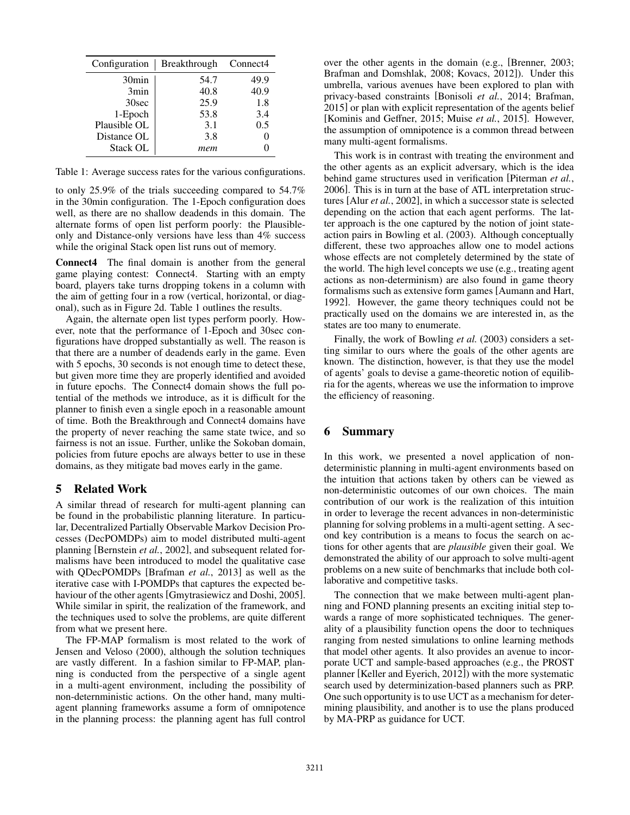| Configuration     | <b>Breakthrough</b> | Connect <sub>4</sub> |
|-------------------|---------------------|----------------------|
| 30 <sub>min</sub> | 54.7                | 49.9                 |
| 3min              | 40.8                | 40.9                 |
| 30sec             | 25.9                | 1.8                  |
| 1-Epoch           | 53.8                | 3.4                  |
| Plausible OL      | 3.1                 | 0.5                  |
| Distance OL       | 3.8                 |                      |
| <b>Stack OL</b>   | mem                 |                      |

Table 1: Average success rates for the various configurations.

to only 25.9% of the trials succeeding compared to 54.7% in the 30min configuration. The 1-Epoch configuration does well, as there are no shallow deadends in this domain. The alternate forms of open list perform poorly: the Plausibleonly and Distance-only versions have less than 4% success while the original Stack open list runs out of memory.

Connect4 The final domain is another from the general game playing contest: Connect4. Starting with an empty board, players take turns dropping tokens in a column with the aim of getting four in a row (vertical, horizontal, or diagonal), such as in Figure 2d. Table 1 outlines the results.

Again, the alternate open list types perform poorly. However, note that the performance of 1-Epoch and 30sec configurations have dropped substantially as well. The reason is that there are a number of deadends early in the game. Even with 5 epochs, 30 seconds is not enough time to detect these, but given more time they are properly identified and avoided in future epochs. The Connect4 domain shows the full potential of the methods we introduce, as it is difficult for the planner to finish even a single epoch in a reasonable amount of time. Both the Breakthrough and Connect4 domains have the property of never reaching the same state twice, and so fairness is not an issue. Further, unlike the Sokoban domain, policies from future epochs are always better to use in these domains, as they mitigate bad moves early in the game.

### 5 Related Work

A similar thread of research for multi-agent planning can be found in the probabilistic planning literature. In particular, Decentralized Partially Observable Markov Decision Processes (DecPOMDPs) aim to model distributed multi-agent planning [Bernstein *et al.*, 2002], and subsequent related formalisms have been introduced to model the qualitative case with QDecPOMDPs [Brafman *et al.*, 2013] as well as the iterative case with I-POMDPs that captures the expected behaviour of the other agents [Gmytrasiewicz and Doshi, 2005]. While similar in spirit, the realization of the framework, and the techniques used to solve the problems, are quite different from what we present here.

The FP-MAP formalism is most related to the work of Jensen and Veloso (2000), although the solution techniques are vastly different. In a fashion similar to FP-MAP, planning is conducted from the perspective of a single agent in a multi-agent environment, including the possibility of non-deternministic actions. On the other hand, many multiagent planning frameworks assume a form of omnipotence in the planning process: the planning agent has full control over the other agents in the domain (e.g., [Brenner, 2003; Brafman and Domshlak, 2008; Kovacs, 2012]). Under this umbrella, various avenues have been explored to plan with privacy-based constraints [Bonisoli *et al.*, 2014; Brafman, 2015] or plan with explicit representation of the agents belief [Kominis and Geffner, 2015; Muise et al., 2015]. However, the assumption of omnipotence is a common thread between many multi-agent formalisms.

This work is in contrast with treating the environment and the other agents as an explicit adversary, which is the idea behind game structures used in verification [Piterman *et al.*, 2006]. This is in turn at the base of ATL interpretation structures [Alur *et al.*, 2002], in which a successor state is selected depending on the action that each agent performs. The latter approach is the one captured by the notion of joint stateaction pairs in Bowling et al. (2003). Although conceptually different, these two approaches allow one to model actions whose effects are not completely determined by the state of the world. The high level concepts we use (e.g., treating agent actions as non-determinism) are also found in game theory formalisms such as extensive form games [Aumann and Hart, 1992]. However, the game theory techniques could not be practically used on the domains we are interested in, as the states are too many to enumerate.

Finally, the work of Bowling *et al.* (2003) considers a setting similar to ours where the goals of the other agents are known. The distinction, however, is that they use the model of agents' goals to devise a game-theoretic notion of equilibria for the agents, whereas we use the information to improve the efficiency of reasoning.

### 6 Summary

In this work, we presented a novel application of nondeterministic planning in multi-agent environments based on the intuition that actions taken by others can be viewed as non-deterministic outcomes of our own choices. The main contribution of our work is the realization of this intuition in order to leverage the recent advances in non-deterministic planning for solving problems in a multi-agent setting. A second key contribution is a means to focus the search on actions for other agents that are *plausible* given their goal. We demonstrated the ability of our approach to solve multi-agent problems on a new suite of benchmarks that include both collaborative and competitive tasks.

The connection that we make between multi-agent planning and FOND planning presents an exciting initial step towards a range of more sophisticated techniques. The generality of a plausibility function opens the door to techniques ranging from nested simulations to online learning methods that model other agents. It also provides an avenue to incorporate UCT and sample-based approaches (e.g., the PROST planner [Keller and Eyerich, 2012]) with the more systematic search used by determinization-based planners such as PRP. One such opportunity is to use UCT as a mechanism for determining plausibility, and another is to use the plans produced by MA-PRP as guidance for UCT.